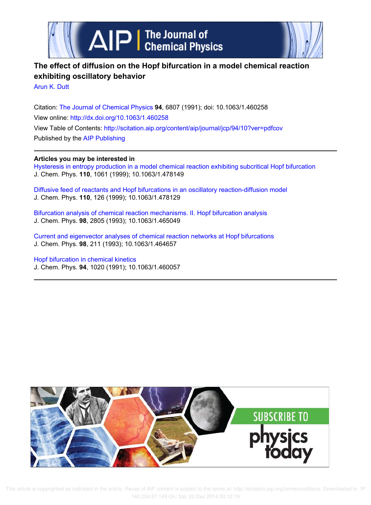



# **The effect of diffusion on the Hopf bifurcation in a model chemical reaction exhibiting oscillatory behavior**

Arun K. Dutt

Citation: The Journal of Chemical Physics **94**, 6807 (1991); doi: 10.1063/1.460258 View online: http://dx.doi.org/10.1063/1.460258 View Table of Contents: http://scitation.aip.org/content/aip/journal/jcp/94/10?ver=pdfcov Published by the AIP Publishing

## **Articles you may be interested in**

Hysteresis in entropy production in a model chemical reaction exhibiting subcritical Hopf bifurcation J. Chem. Phys. **110**, 1061 (1999); 10.1063/1.478149

Diffusive feed of reactants and Hopf bifurcations in an oscillatory reaction-diffusion model J. Chem. Phys. **110**, 126 (1999); 10.1063/1.478129

Bifurcation analysis of chemical reaction mechanisms. II. Hopf bifurcation analysis J. Chem. Phys. **98**, 2805 (1993); 10.1063/1.465049

Current and eigenvector analyses of chemical reaction networks at Hopf bifurcations J. Chem. Phys. **98**, 211 (1993); 10.1063/1.464657

Hopf bifurcation in chemical kinetics J. Chem. Phys. **94**, 1020 (1991); 10.1063/1.460057

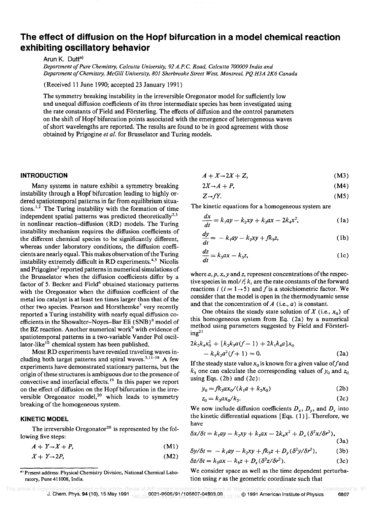# **The effect of diffusion on the Hopf bifurcation in a model chemical reaction exhibiting oscillatory behavior**

Arun K. Dutt<sup>a)</sup>

*Department 0/ Pure Chemistry, Calcutta University,* 92 *A.P.* C. *Road, Calcutta 700009 India and Department o/Chemistry, McGill University, 801 Sherbrooke Street West, Montreal, PQ H3A 2K6 Canada* 

(Received 11 June 1990; accepted 23 January 1991)

The symmetry breaking instability in the irreversible Oregonator model for sufficiently low and unequal diffusion coefficients of its three intermediate species has been investigated using the rate constants of Field and Försterling. The effects of diffusion and the control parameters on the shift of Hopf bifurcation points associated with the emergence of heterogeneous waves of short wavelengths are reported. The results are found to be in good agreement with those obtained by Prigogine *et al.* for Brusselator and Turing models.

### **INTRODUCTION**

Many systems in nature exhibit a symmetry breaking instability through a Hopf bifurcation leading to highly ordered spatiotemporal patterns in far from equilibrium situations.<sup>1,2</sup> The Turing instability with the formation of time independent spatial patterns was predicted theoretically<sup>2,3</sup> in nonlinear reaction-diffusion (RD) models. The Turing instability mechanism requires the diffusion coefficients of the different chemical species to be significantly different, whereas under laboratory conditions, the diffusion coefficients are nearly equal. This makes observation of the Turing instability extremely difficult in RD experiments.<sup>4,5</sup> Nicolis and Prigogine<sup>2</sup> reported patterns in numerical simulations of the Brusselator when the diffusion coefficients differ by a factor of 5. Becker and Field<sup>6</sup> obtained stationary patterns with the Oregonator when the diffusion coefficient of the metal ion catalyst is at least ten times larger than that of the other two species. Pearson and Horsthemke<sup>7</sup> very recently reported a Turing instability with nearly equal diffusion coefficients in the Showalter-Noyes-Bar Eli (SNB)<sup>8</sup> model of the BZ reaction. Another numerical work<sup>9</sup> with evidence of spatiotemporal patterns in a two-variable Vander Pol oscillator-like<sup>10</sup> chemical system has been published.

Most RD experiments have revealed traveling waves including both target patterns and spiral waves.<sup>5,11-18</sup> A few experiments have demonstrated stationary patterns, but the origin of these structures is ambiguous due to the presence of convective and interfacial effects. 19 In this paper we report on the effect of diffusion on the Hopf bifurcation in the irreversible Oregonator model,<sup>20</sup> which leads to symmetry breaking of the homogeneous system.

#### **KINETIC MODEL**

The irreversible Oregonator<sup>20</sup> is represented by the following five steps:

 $A + Y \rightarrow X + P$ (Ml)

$$
X + Y \rightarrow 2P, \tag{M2}
$$

 $A + X \rightarrow 2X + Z$ , (M3)

$$
2X \rightarrow A + P, \tag{M4}
$$

$$
Z \rightarrow fY. \tag{M5}
$$

The kinetic equations for a homogeneous system are

$$
\frac{dx}{dt} = k_1ay - k_2xy + k_3ax - 2k_4x^2,
$$
 (1a)

$$
\frac{dy}{dt} = -k_1ay - k_2xy + fk_5z,\tag{1b}
$$

$$
\frac{dz}{dt} = k_3ax - k_5z,\tag{1c}
$$

where *a, p, x, y* and *z,* represent concentrations of the respective species in mol/ $\ell$ ;  $k_i$  are the rate constants of the forward reactions *i*  $(i = 1 \rightarrow 5)$  and *f* is a stoichiometric factor. We consider that the model is open in the thermodynamic sense and that the concentration of *A* (i.e., *a)* is constant.

One obtains the steady state solution of  $X$  (i.e.,  $x_0$ ) of this homogeneous system from Eq. (2a) by a numerical method using parameters suggested by Field and Försterl $ing<sup>21</sup>$ 

$$
2k_2k_4x_0^2 + [k_2k_3a(f-1) + 2k_1k_4a]x_0
$$
  
- k<sub>1</sub>k<sub>3</sub>a<sup>2</sup>(f+1) = 0. (2a)

If the steady state value  $x_0$  is known for a given value of f and  $k_5$  one can calculate the corresponding values of  $y_0$  and  $z_0$ using Eqs.  $(2b)$  and  $(2c)$ :

$$
y_0 = f k_3 a x_0 / (k_1 a + k_2 x_0)
$$
 (2b)

$$
z_0 = k_3 a x_0 / k_5. \tag{2c}
$$

We now include diffusion coefficients  $D_x$ ,  $D_y$ , and  $D_z$  into the kinetic differential equations [Eqs. (1)]. Therefore, we have

$$
\delta x/\delta t = k_1 a y - k_2 x y + k_3 a x - 2k_4 x^2 + D_x (\delta^2 x/\delta r^2),
$$
\n(3a)

$$
\delta y/\delta t = -k_1 a y - k_2 x y + f k_5 z + D_y (\delta^2 y/\delta r^2), \qquad (3b)
$$

$$
\delta z/\delta t = k_3 a x - k_5 z + D_z (\delta^2 z/\delta r^2). \tag{3c}
$$

We consider space as well as the time dependent perturbation using *r* as the geometric coordinate such that

a) Present address: Physical Chemistry Division, National Chemical Laboratory, Pune 411008, India.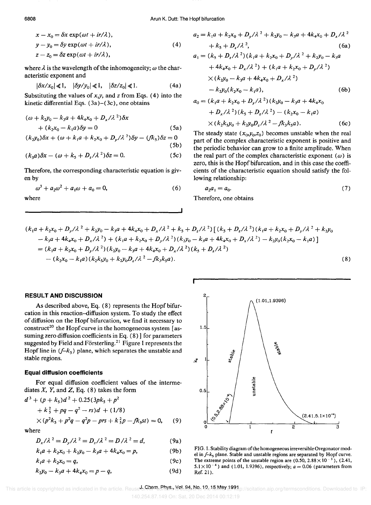$$
x - x_0 = \delta x \exp(\omega t + ir/\lambda),
$$
  
\n
$$
y - y_0 = \delta y \exp(\omega t + ir/\lambda),
$$
  
\n
$$
z - z_0 = \delta z \exp(\omega t + ir/\lambda),
$$
\n(4)

where  $\lambda$  is the wavelength of the inhomogeneity;  $\omega$  the characteristic exponent and

$$
|\delta x/x_0| \ll 1, \quad |\delta y/y_0| \ll 1, \quad |\delta z/z_0| \ll 1. \tag{4a}
$$

Substituting the values of  $x, y$ , and  $z$  from Eqs. (4) into the kinetic differential Eqs.  $(3a)-(3c)$ , one obtains

$$
(\omega + k_2 y_0 - k_3 a + 4k_4 x_0 + D_x/\lambda^2) \delta x
$$
  
+ 
$$
(k_2 x_0 - k_1 a) \delta y = 0
$$
 (5a)

$$
(k_2y_0)\delta x + (\omega + k_1a + k_2x_0 + D_y/\lambda^2)\delta y - (fk_s)\delta z = 0
$$
\n(5b)

$$
(k_3a)\delta x - (\omega + k_5 + D_z/\lambda^2)\delta z = 0.
$$
 (5c)

Therefore, the corresponding characteristic equation is given by

$$
\omega^3 + a_2 \omega^2 + a_1 \omega + a_0 = 0,\tag{6}
$$

where

$$
a_2 = k_1 a + k_2 x_0 + D_y / \lambda^2 + k_2 y_0 - k_3 a + 4k_4 x_0 + D_x / \lambda^2
$$
  
+  $k_5 + D_z / \lambda^2$ , (6a)  

$$
a_1 = (k_5 + D_z / \lambda^2)(k_1 a + k_2 x_0 + D_y / \lambda^2 + k_2 y_0 - k_3 a + 4k_4 x_0 + D_x / \lambda^2) + (k_1 a + k_2 x_0 + D_y / \lambda^2)
$$
  
 $\times (k_2 y_0 - k_3 a + 4k_4 x_0 + D_x / \lambda^2)$   
-  $k_2 y_0 (k_2 x_0 - k_1 a)$ , (6b)

$$
a_0 = (k_1a + k_2x_0 + D_y/\lambda^2)(k_2y_0 - k_3a + 4k_4x_0 + D_x/\lambda^2)(k_5 + D_z/\lambda^2) - (k_2x_0 - k_1a) \times (k_2k_5y_0 + k_2y_0D_z/\lambda^2 - f k_3k_5a).
$$
 (6c)

The steady state  $(x_0, y_0, z_0)$  becomes unstable when the real part of the complex characteristic exponent is positive and the periodic behavior can grow to a finite amplitude. When the real part of the complex characteristic exponent  $(\omega)$  is zero, this is the Hopf bifurcation, and in this case the coefficients of the characteristic equation should satisfy the following relationship:

$$
a_2a_1 = a_0. \tag{7}
$$

Therefore, one obtains

$$
(k_1a + k_2x_0 + D_y/\lambda^2 + k_2y_0 - k_3a + 4k_4x_0 + D_x/\lambda^2 + k_5 + D_z/\lambda^2) [(k_5 + D_z/\lambda^2)(k_1a + k_2x_0 + D_y/\lambda^2 + k_2y_0 - k_3a + 4k_4x_0 + D_x/\lambda^2) + (k_1a + k_2x_0 + D_y/\lambda^2)(k_2y_0 - k_3a + 4k_4x_0 + D_x/\lambda^2) - k_2y_0(k_2x_0 - k_1a)]
$$
  
=  $(k_1a + k_2x_0 + D_y/\lambda^2)(k_2y_0 - k_3a + 4k_4x_0 + D_x/\lambda^2)(k_5 + D_z/\lambda^2)$   
-  $(k_2x_0 - k_1a)(k_2k_3y_0 + k_2y_0D_z/\lambda^2 - f_kk_3k_3a).$  (8)

#### **RESULT AND DISCUSSION**

As described above, Eq. (8) represents the Hopf bifurcation in this reaction-diffusion system. To study the effect of diffusion on the Hopf bifurcation, we find it necessary to construct<sup>20</sup> the Hopf curve in the homogeneous system [assuming zero diffusion coefficients in Eq. (8) ] for parameters suggested by Field and Försterling.<sup>21</sup> Figure 1 represents the Hopf line in  $(f-k_5)$  plane, which separates the unstable and stable regions.

#### **Equal diffusion coefficients**

For equal diffusion coefficient values of the intermediates *X, Y,* and Z, Eq. (8) takes the form

$$
d3 + (p + k5)d2 + 0.25(3pk5 + p2+ k52 + pq - q2 - rs)d + (1/8)\times (p2k5 + p2q - q2p - pr5 + k52p - fk5st) = 0,
$$
 (9)

where

$$
D_x / \lambda^2 = D_y / \lambda^2 = D_z / \lambda^2 = D / \lambda^2 = d,
$$
 (9a)

$$
k_1a + k_2x_0 + k_2y_0 - k_3a + 4k_4x_0 = p,\t\t(9b)
$$

$$
k_1a + k_2x_0 = q,\t\t(9c)
$$

$$
k_2 y_0 - k_3 a + 4k_4 x_0 = p - q,\t\t(9d)
$$



FIG. I. Stability diagram of the homogeneous irreversible Oregonator model in *f-k,* plane. Stable and unstable regions are separated by Hopf curve. The extreme points of the unstable region are  $(0.50, 2.88 \times 10^{-3})$ ,  $(2.41,$  $5.1 \times 10^{-4}$ ) and (1.01, 1.9396), respectively;  $a = 0.06$  (parameters from Ref. 21).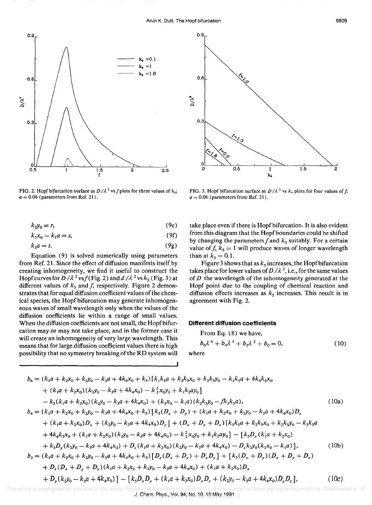

FIG. 2. Hopf bifurcation surface as  $D/\lambda^2$  vs f plots for three values of  $k_{5}$ ;  $a = 0.06$  (parameters from Ref. 21).

$$
k_2 y_0 = r,\tag{9e}
$$

$$
k_2x_0 - k_1a = s,\t\t(9f)
$$

$$
k_3 a = t. \tag{9g}
$$

Equation (9) is solved numerically using parameters from Ref. 21. Since the effect of diffusion manifests itself by creating inhomogeneity, we find it useful to construct the Hopf curves for  $D/\lambda^2$  vs  $f$  (Fig. 2) and  $d/\lambda^2$  vs  $k_5$  (Fig. 3) at different values of  $k_5$  and  $f$ , respectively. Figure 2 demonstrates that for equal diffusion coefficient values of the chemical species, the Hopf bifurcation may generate inhomogeneous waves of small wavelength only when the values of the diffusion coefficients lie within a range of small values. When the diffusion coefficients are not small, the Hopf bifurcation mayor may not take place, and in the former case it will create an inhomogeneity of very large wavelength. This means that for large diffusion coefficient values there is high possibility that no symmetry breaking of the **RD** system will



FIG. 3. Hopf bifurcation surface as  $D/\lambda^2$  vs  $k_5$  plots for four values of  $f$ ;  $a = 0.06$  (parameters from Ref. 21).

take place even if there is Hopf bifurcation. It is also evident from this diagram that the Hopf boundaries could be shifted by changing the parameters f and  $k<sub>5</sub>$  suitably. For a certain value of  $f, k_5 = 1$  will produce waves of longer wavelength than at  $k_5 = 0.1$ .

Figure 3 shows that as  $k<sub>s</sub>$  increases, the Hopf bifurcation takes place for lower values of  $D/\lambda^2$ , i.e., for the same values of *D* the wavelength of the inhomogeneity generated at the Hopf point due to the coupling of chemical reaction and diffusion effects increases as  $k<sub>5</sub>$  increases. This result is in agreement with Fig. 2.

#### **Different diffusion coefficients**

From Eq. (8) we have,  $b_6\lambda^6 + b_4\lambda^4 + b_2\lambda^2 + b_0 = 0,$ (10)

where

**I** 

$$
b_{6} = (k_{1}a + k_{2}x_{0} + k_{2}y_{0} - k_{3}a + 4k_{4}x_{0} + k_{5})[k_{1}k_{5}a + k_{2}k_{5}x_{0} + k_{2}k_{5}y_{0} - k_{3}k_{5}a + 4k_{4}k_{5}x_{0}
$$
  
+  $(k_{1}a + k_{2}x_{0})(k_{2}y_{0} - k_{3}a + 4k_{4}x_{0}) - k_{2}^{2}x_{0}y_{0} + k_{1}k_{2}ay_{0}]$   
-  $k_{5}(k_{1}a + k_{2}x_{0})(k_{2}y_{0} - k_{3}a + 4k_{4}x_{0}) + (k_{2}x_{0} - k_{1}a)(k_{2}k_{5}y_{0} - fk_{3}k_{5}a),$   
 $b_{4} = (k_{1}a + k_{2}x_{0} + k_{2}y_{0} - k_{3}a + 4k_{4}x_{0} + k_{5})[k_{5}(D_{x} + D_{y}) + (k_{1}a + k_{2}x_{0} + k_{2}y_{0} - k_{3}a + 4k_{4}x_{0})D_{z}$   
+  $(k_{1}a + k_{2}x_{0})D_{x} + (k_{2}y_{0} - k_{3}a + 4k_{4}x_{0})D_{y}] + (D_{x} + D_{y} + D_{z})[k_{1}k_{5}a + k_{2}k_{5}x_{0} + k_{2}k_{5}y_{0} - k_{3}k_{5}a$   
+  $4k_{4}k_{5}x_{0} + (k_{1}a + k_{2}x_{0})(k_{2}y_{0} - k_{3}a + 4k_{4}x_{0}) - k_{2}^{2}x_{0}y_{0} + k_{1}k_{2}ay_{0}] - [k_{5}D_{x}(k_{1}a + k_{2}x_{0})$   
+  $k_{5}D_{y}(k_{2}y_{0} - k_{3}a + 4k_{4}x_{0}) + D_{z}(k_{1}a + k_{2}x_{0})(k_{2}y_{0} - k_{3}a + 4k_{4}x_{0}) - D_{z}k_{2}y_{0}(k_{2}x_{0} - k_{1}a)]$ , (10b)  
 $b_{2} = (k_{$